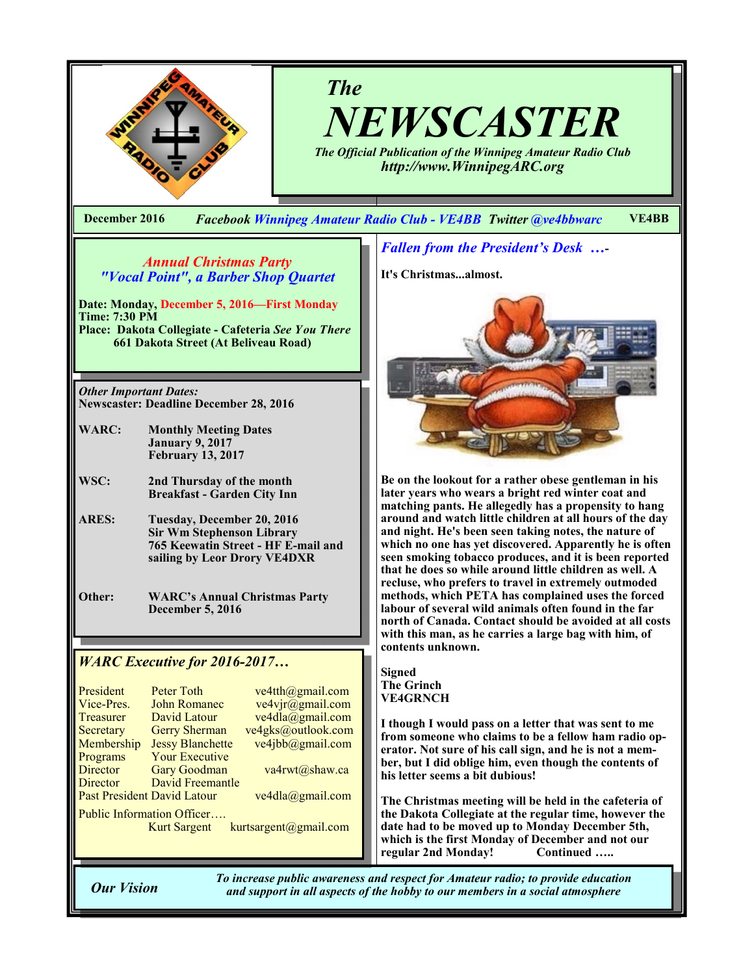

# *The NEWSCASTER*

*The Official Publication of the Winnipeg Amateur Radio Club http://www.WinnipegARC.org*

**December 2016** *Facebook Winnipeg Amateur Radio Club - VE4BB Twitter @ve4bbwarc* **VE4BB**

## *Annual Christmas Party "Vocal Point", a Barber Shop Quartet*

**Date: Monday, December 5, 2016—First Monday Time: 7:30 PM**

**Place: Dakota Collegiate - Cafeteria** *See You There* **661 Dakota Street (At Beliveau Road)**

*Other Important Dates:* **Newscaster: Deadline December 28, 2016**

**WARC: Monthly Meeting Dates January 9, 2017 February 13, 2017**

**WSC: 2nd Thursday of the month Breakfast - Garden City Inn**

**ARES: Tuesday, December 20, 2016 Sir Wm Stephenson Library 765 Keewatin Street - HF E-mail and sailing by Leor Drory VE4DXR**

**Other: WARC's Annual Christmas Party December 5, 2016**

## *WARC Executive for 2016-2017…*

| President                          | <b>Peter Toth</b>                                                                                                                   | $ve4th(\omega)$ gmail.com |  |  |  |
|------------------------------------|-------------------------------------------------------------------------------------------------------------------------------------|---------------------------|--|--|--|
| Vice-Pres.                         | <b>John Romanec</b>                                                                                                                 | ve4vjr@gmail.com          |  |  |  |
| Treasurer                          | David Latour                                                                                                                        | ve4dla@gmail.com          |  |  |  |
| Secretary                          | <b>Gerry Sherman</b>                                                                                                                | ve4gks@outlook.com        |  |  |  |
| Membership                         | <b>Jessy Blanchette</b>                                                                                                             | ve4jbb@gmail.com          |  |  |  |
| Programs                           | <b>Your Executive</b>                                                                                                               |                           |  |  |  |
| Director                           | <b>Gary Goodman</b>                                                                                                                 | va4rwt@shaw.ca            |  |  |  |
| Director                           | David Freemantle                                                                                                                    |                           |  |  |  |
| <b>Past President David Latour</b> |                                                                                                                                     | ve4dla@gmail.com          |  |  |  |
| Public Information Officer         |                                                                                                                                     |                           |  |  |  |
|                                    | $\mathbf{r}$ and $\mathbf{r}$ and $\mathbf{r}$ and $\mathbf{r}$ and $\mathbf{r}$ and $\mathbf{r}$ and $\mathbf{r}$ and $\mathbf{r}$ |                           |  |  |  |

Kurt Sargent kurtsargent@gmail.com

## *Fallen from the President's Desk …***-**

**It's Christmas...almost.**



**Be on the lookout for a rather obese gentleman in his later years who wears a bright red winter coat and matching pants. He allegedly has a propensity to hang around and watch little children at all hours of the day and night. He's been seen taking notes, the nature of which no one has yet discovered. Apparently he is often seen smoking tobacco produces, and it is been reported that he does so while around little children as well. A recluse, who prefers to travel in extremely outmoded methods, which PETA has complained uses the forced labour of several wild animals often found in the far north of Canada. Contact should be avoided at all costs with this man, as he carries a large bag with him, of contents unknown.**

**Signed The Grinch VE4GRNCH**

**I though I would pass on a letter that was sent to me from someone who claims to be a fellow ham radio operator. Not sure of his call sign, and he is not a member, but I did oblige him, even though the contents of his letter seems a bit dubious!**

**The Christmas meeting will be held in the cafeteria of the Dakota Collegiate at the regular time, however the date had to be moved up to Monday December 5th, which is the first Monday of December and not our regular 2nd Monday!** 

*To increase public awareness and respect for Amateur radio; to provide education Our Vision and support in all aspects of the hobby to our members in a social atmosphere*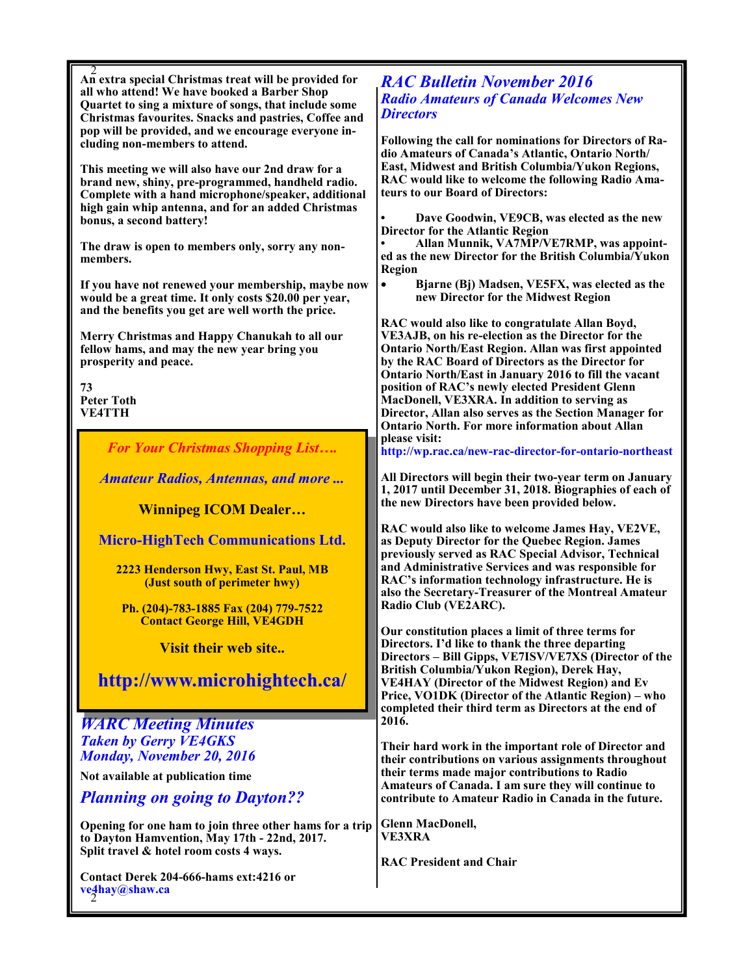| An extra special Christmas treat will be provided for<br>all who attend! We have booked a Barber Shop<br>Quartet to sing a mixture of songs, that include some<br>Christmas favourites. Snacks and pastries, Coffee and<br>pop will be provided, and we encourage everyone in-<br>cluding non-members to attend.<br>This meeting we will also have our 2nd draw for a<br>brand new, shiny, pre-programmed, handheld radio.<br>Complete with a hand microphone/speaker, additional<br>high gain whip antenna, and for an added Christmas<br>bonus, a second battery!<br>The draw is open to members only, sorry any non-<br>members.<br>If you have not renewed your membership, maybe now<br>would be a great time. It only costs \$20.00 per year,<br>and the benefits you get are well worth the price.<br>Merry Christmas and Happy Chanukah to all our<br>fellow hams, and may the new year bring you<br>prosperity and peace.<br>73<br><b>Peter Toth</b><br><b>VE4TTH</b><br><b>For Your Christmas Shopping List</b><br><b>Amateur Radios, Antennas, and more </b><br><b>Winnipeg ICOM Dealer</b><br><b>Micro-HighTech Communications Ltd.</b><br>2223 Henderson Hwy, East St. Paul, MB<br>(Just south of perimeter hwy)<br>Ph. (204)-783-1885 Fax (204) 779-7522<br><b>Contact George Hill, VE4GDH</b><br><b>Visit their web site</b><br>http://www.microhightech.ca/<br><b>WARC Meeting Minutes</b><br><b>Taken by Gerry VE4GKS</b> | <b>RAC Bulletin November 2016</b><br><b>Radio Amateurs of Canada Welcomes New</b><br><b>Directors</b><br>Following the call for nominations for Directors of Ra-<br>dio Amateurs of Canada's Atlantic, Ontario North/<br>East, Midwest and British Columbia/Yukon Regions,<br>RAC would like to welcome the following Radio Ama-<br>teurs to our Board of Directors:<br>Dave Goodwin, VE9CB, was elected as the new<br><b>Director for the Atlantic Region</b><br>Allan Munnik, VA7MP/VE7RMP, was appoint-<br>ed as the new Director for the British Columbia/Yukon<br>Region<br>Bjarne (Bj) Madsen, VE5FX, was elected as the<br>$\bullet$<br>new Director for the Midwest Region<br>RAC would also like to congratulate Allan Boyd,<br>VE3AJB, on his re-election as the Director for the<br><b>Ontario North/East Region. Allan was first appointed</b><br>by the RAC Board of Directors as the Director for<br>Ontario North/East in January 2016 to fill the vacant<br>position of RAC's newly elected President Glenn<br>MacDonell, VE3XRA. In addition to serving as<br>Director, Allan also serves as the Section Manager for<br><b>Ontario North. For more information about Allan</b><br>please visit:<br>http://wp.rac.ca/new-rac-director-for-ontario-northeast<br>All Directors will begin their two-year term on January<br>1, 2017 until December 31, 2018. Biographies of each of<br>the new Directors have been provided below.<br>RAC would also like to welcome James Hay, VE2VE,<br>as Deputy Director for the Quebec Region. James<br>previously served as RAC Special Advisor, Technical<br>and Administrative Services and was responsible for<br>RAC's information technology infrastructure. He is<br>also the Secretary-Treasurer of the Montreal Amateur<br>Radio Club (VE2ARC).<br>Our constitution places a limit of three terms for<br>Directors. I'd like to thank the three departing<br>Directors – Bill Gipps, VE7ISV/VE7XS (Director of the<br>British Columbia/Yukon Region), Derek Hay,<br><b>VE4HAY (Director of the Midwest Region) and Ev</b><br>Price, VO1DK (Director of the Atlantic Region) – who<br>completed their third term as Directors at the end of<br>2016.<br>Their hard work in the important role of Director and |
|--------------------------------------------------------------------------------------------------------------------------------------------------------------------------------------------------------------------------------------------------------------------------------------------------------------------------------------------------------------------------------------------------------------------------------------------------------------------------------------------------------------------------------------------------------------------------------------------------------------------------------------------------------------------------------------------------------------------------------------------------------------------------------------------------------------------------------------------------------------------------------------------------------------------------------------------------------------------------------------------------------------------------------------------------------------------------------------------------------------------------------------------------------------------------------------------------------------------------------------------------------------------------------------------------------------------------------------------------------------------------------------------------------------------------------------------|--------------------------------------------------------------------------------------------------------------------------------------------------------------------------------------------------------------------------------------------------------------------------------------------------------------------------------------------------------------------------------------------------------------------------------------------------------------------------------------------------------------------------------------------------------------------------------------------------------------------------------------------------------------------------------------------------------------------------------------------------------------------------------------------------------------------------------------------------------------------------------------------------------------------------------------------------------------------------------------------------------------------------------------------------------------------------------------------------------------------------------------------------------------------------------------------------------------------------------------------------------------------------------------------------------------------------------------------------------------------------------------------------------------------------------------------------------------------------------------------------------------------------------------------------------------------------------------------------------------------------------------------------------------------------------------------------------------------------------------------------------------------------------------------------------------------------------------------------------------------------------------------------------------------------------------------------------------------------------------------------------------------------------------------------------------------------------------------------------------------------------------------------------------------------------------------------------------------------------------------------------------------------|
| <b>Monday, November 20, 2016</b><br>Not available at publication time<br><b>Planning on going to Dayton??</b><br>Opening for one ham to join three other hams for a trip                                                                                                                                                                                                                                                                                                                                                                                                                                                                                                                                                                                                                                                                                                                                                                                                                                                                                                                                                                                                                                                                                                                                                                                                                                                                   | their contributions on various assignments throughout<br>their terms made major contributions to Radio<br>Amateurs of Canada. I am sure they will continue to<br>contribute to Amateur Radio in Canada in the future.<br><b>Glenn MacDonell,</b>                                                                                                                                                                                                                                                                                                                                                                                                                                                                                                                                                                                                                                                                                                                                                                                                                                                                                                                                                                                                                                                                                                                                                                                                                                                                                                                                                                                                                                                                                                                                                                                                                                                                                                                                                                                                                                                                                                                                                                                                                         |
| to Dayton Hamvention, May 17th - 22nd, 2017.<br>Split travel & hotel room costs 4 ways.<br>Contact Derek 204-666-hams ext:4216 or<br>ve4hay@shaw.ca                                                                                                                                                                                                                                                                                                                                                                                                                                                                                                                                                                                                                                                                                                                                                                                                                                                                                                                                                                                                                                                                                                                                                                                                                                                                                        | <b>VE3XRA</b><br><b>RAC President and Chair</b>                                                                                                                                                                                                                                                                                                                                                                                                                                                                                                                                                                                                                                                                                                                                                                                                                                                                                                                                                                                                                                                                                                                                                                                                                                                                                                                                                                                                                                                                                                                                                                                                                                                                                                                                                                                                                                                                                                                                                                                                                                                                                                                                                                                                                          |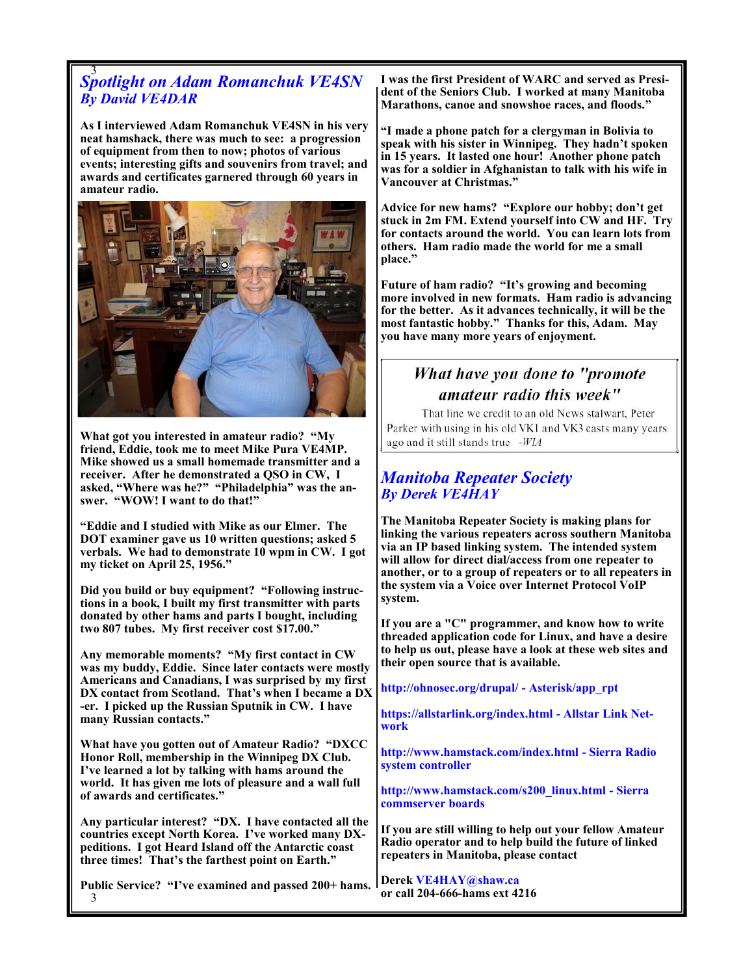# 3 *Spotlight on Adam Romanchuk VE4SN By David VE4DAR*

**As I interviewed Adam Romanchuk VE4SN in his very neat hamshack, there was much to see: a progression of equipment from then to now; photos of various events; interesting gifts and souvenirs from travel; and awards and certificates garnered through 60 years in amateur radio.** 



**What got you interested in amateur radio? "My friend, Eddie, took me to meet Mike Pura VE4MP. Mike showed us a small homemade transmitter and a receiver. After he demonstrated a QSO in CW, I asked, "Where was he?" "Philadelphia" was the answer. "WOW! I want to do that!"**

**"Eddie and I studied with Mike as our Elmer. The DOT examiner gave us 10 written questions; asked 5 verbals. We had to demonstrate 10 wpm in CW. I got my ticket on April 25, 1956."**

**Did you build or buy equipment? "Following instructions in a book, I built my first transmitter with parts donated by other hams and parts I bought, including two 807 tubes. My first receiver cost \$17.00."**

**Any memorable moments? "My first contact in CW was my buddy, Eddie. Since later contacts were mostly Americans and Canadians, I was surprised by my first DX contact from Scotland. That's when I became a DX -er. I picked up the Russian Sputnik in CW. I have many Russian contacts."**

**What have you gotten out of Amateur Radio? "DXCC Honor Roll, membership in the Winnipeg DX Club. I've learned a lot by talking with hams around the world. It has given me lots of pleasure and a wall full of awards and certificates."**

**Any particular interest? "DX. I have contacted all the countries except North Korea. I've worked many DXpeditions. I got Heard Island off the Antarctic coast three times! That's the farthest point on Earth."**

3 **Public Service? "I've examined and passed 200+ hams.**  **I was the first President of WARC and served as President of the Seniors Club. I worked at many Manitoba Marathons, canoe and snowshoe races, and floods."**

**"I made a phone patch for a clergyman in Bolivia to speak with his sister in Winnipeg. They hadn't spoken in 15 years. It lasted one hour! Another phone patch was for a soldier in Afghanistan to talk with his wife in Vancouver at Christmas."**

**Advice for new hams? "Explore our hobby; don't get stuck in 2m FM. Extend yourself into CW and HF. Try for contacts around the world. You can learn lots from others. Ham radio made the world for me a small place."**

**Future of ham radio? "It's growing and becoming more involved in new formats. Ham radio is advancing for the better. As it advances technically, it will be the most fantastic hobby." Thanks for this, Adam. May you have many more years of enjoyment.**

## What have you done to "promote amateur radio this week"

That line we credit to an old News stalwart, Peter Parker with using in his old VK1 and VK3 casts many years ago and it still stands true -WIA

## *Manitoba Repeater Society By Derek VE4HAY*

**The Manitoba Repeater Society is making plans for linking the various repeaters across southern Manitoba via an IP based linking system. The intended system will allow for direct dial/access from one repeater to another, or to a group of repeaters or to all repeaters in the system via a Voice over Internet Protocol VoIP system.** 

**If you are a "C" programmer, and know how to write threaded application code for Linux, and have a desire to help us out, please have a look at these web sites and their open source that is available.**

**http://ohnosec.org/drupal/ - Asterisk/app\_rpt**

**https://allstarlink.org/index.html - Allstar Link Network**

**http://www.hamstack.com/index.html - Sierra Radio system controller**

**http://www.hamstack.com/s200\_linux.html - Sierra commserver boards**

**If you are still willing to help out your fellow Amateur Radio operator and to help build the future of linked repeaters in Manitoba, please contact** 

**Derek VE4HAY@shaw.ca or call 204-666-hams ext 4216**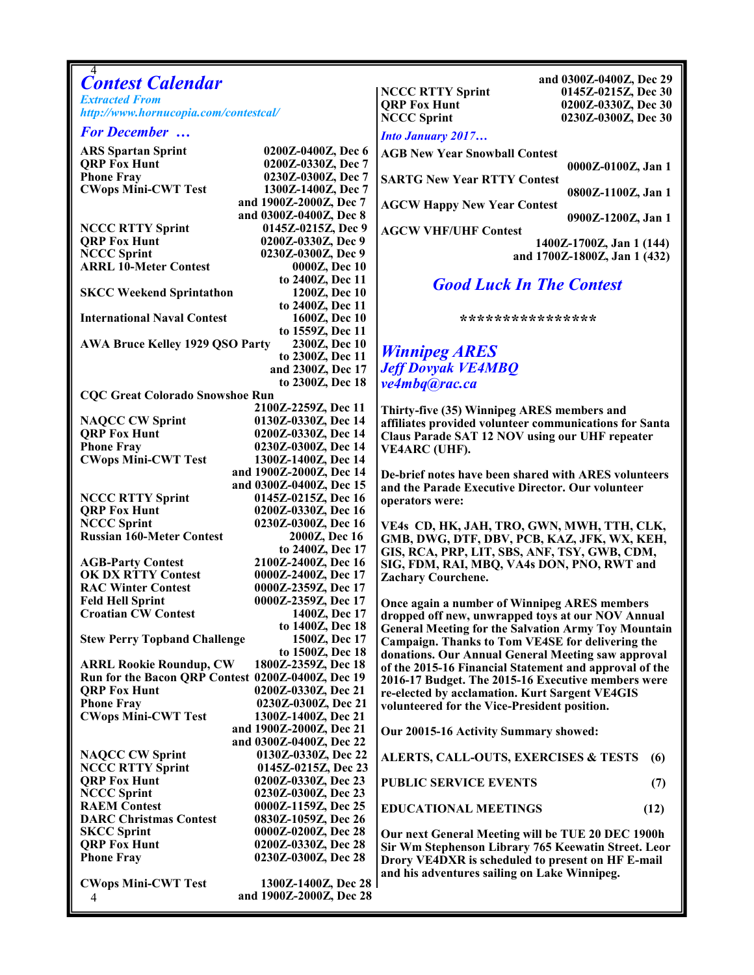| 4                                                     |                                                    |                                                                                                        |                                                |
|-------------------------------------------------------|----------------------------------------------------|--------------------------------------------------------------------------------------------------------|------------------------------------------------|
| <b>Contest Calendar</b>                               |                                                    | <b>NCCC RTTY Sprint</b>                                                                                | and 0300Z-0400Z, Dec 29<br>0145Z-0215Z, Dec 30 |
| <b>Extracted From</b>                                 |                                                    | <b>QRP Fox Hunt</b>                                                                                    | 0200Z-0330Z, Dec 30                            |
| http://www.hornucopia.com/contestcal/                 |                                                    | <b>NCCC Sprint</b>                                                                                     | 0230Z-0300Z, Dec 30                            |
| <b>For December </b>                                  |                                                    | <b>Into January 2017</b>                                                                               |                                                |
| <b>ARS Spartan Sprint</b>                             | 0200Z-0400Z, Dec 6                                 |                                                                                                        |                                                |
| <b>QRP Fox Hunt</b>                                   | 0200Z-0330Z, Dec 7                                 | <b>AGB New Year Snowball Contest</b>                                                                   | 0000Z-0100Z, Jan 1                             |
| <b>Phone Fray</b>                                     | 0230Z-0300Z, Dec 7                                 | <b>SARTG New Year RTTY Contest</b>                                                                     |                                                |
| <b>CWops Mini-CWT Test</b>                            | 1300Z-1400Z, Dec 7                                 |                                                                                                        | 0800Z-1100Z, Jan 1                             |
|                                                       | and 1900Z-2000Z, Dec 7                             | <b>AGCW Happy New Year Contest</b>                                                                     |                                                |
|                                                       | and 0300Z-0400Z, Dec 8                             |                                                                                                        | 0900Z-1200Z, Jan 1                             |
| <b>NCCC RTTY Sprint</b>                               | 0145Z-0215Z, Dec 9                                 | <b>AGCW VHF/UHF Contest</b>                                                                            |                                                |
| <b>QRP Fox Hunt</b>                                   | 0200Z-0330Z, Dec 9                                 |                                                                                                        | 1400Z-1700Z, Jan 1 (144)                       |
| <b>NCCC Sprint</b><br><b>ARRL 10-Meter Contest</b>    | 0230Z-0300Z, Dec 9<br>0000Z, Dec 10                |                                                                                                        | and 1700Z-1800Z, Jan 1 (432)                   |
|                                                       | to 2400Z, Dec 11                                   |                                                                                                        |                                                |
| <b>SKCC Weekend Sprintathon</b>                       | 1200Z, Dec 10                                      | <b>Good Luck In The Contest</b>                                                                        |                                                |
|                                                       | to 2400Z, Dec 11                                   |                                                                                                        |                                                |
| <b>International Naval Contest</b>                    | 1600Z, Dec 10                                      | * * * * * * * * * * * * * * * * * * *                                                                  |                                                |
|                                                       | to 1559Z, Dec 11                                   |                                                                                                        |                                                |
| AWA Bruce Kelley 1929 QSO Party                       | 2300Z, Dec 10                                      | <b>Winnipeg ARES</b>                                                                                   |                                                |
|                                                       | to 2300Z, Dec 11                                   | <b>Jeff Dovyak VE4MBQ</b>                                                                              |                                                |
|                                                       | and 2300Z, Dec 17<br>to 2300Z, Dec 18              |                                                                                                        |                                                |
| <b>CQC Great Colorado Snowshoe Run</b>                |                                                    | ve4mbq@rac.ca                                                                                          |                                                |
|                                                       | 2100Z-2259Z, Dec 11                                | Thirty-five (35) Winnipeg ARES members and                                                             |                                                |
| <b>NAQCC CW Sprint</b>                                | 0130Z-0330Z, Dec 14                                | affiliates provided volunteer communications for Santa                                                 |                                                |
| <b>QRP Fox Hunt</b>                                   | 0200Z-0330Z, Dec 14                                | Claus Parade SAT 12 NOV using our UHF repeater                                                         |                                                |
| <b>Phone Fray</b>                                     | 0230Z-0300Z, Dec 14                                | <b>VE4ARC</b> (UHF).                                                                                   |                                                |
| <b>CWops Mini-CWT Test</b>                            | 1300Z-1400Z, Dec 14                                |                                                                                                        |                                                |
|                                                       | and 1900Z-2000Z, Dec 14                            | De-brief notes have been shared with ARES volunteers                                                   |                                                |
|                                                       | and 0300Z-0400Z, Dec 15                            | and the Parade Executive Director. Our volunteer                                                       |                                                |
| <b>NCCC RTTY Sprint</b><br><b>QRP Fox Hunt</b>        | 0145Z-0215Z, Dec 16<br>0200Z-0330Z, Dec 16         | operators were:                                                                                        |                                                |
| <b>NCCC Sprint</b>                                    | 0230Z-0300Z, Dec 16                                |                                                                                                        |                                                |
| <b>Russian 160-Meter Contest</b>                      | 2000Z, Dec 16                                      | VE4s CD, HK, JAH, TRO, GWN, MWH, TTH, CLK,<br>GMB, DWG, DTF, DBV, PCB, KAZ, JFK, WX, KEH,              |                                                |
|                                                       | to 2400Z, Dec 17                                   | GIS, RCA, PRP, LIT, SBS, ANF, TSY, GWB, CDM,                                                           |                                                |
| <b>AGB-Party Contest</b>                              | 2100Z-2400Z, Dec 16                                | SIG, FDM, RAI, MBQ, VA4s DON, PNO, RWT and                                                             |                                                |
| <b>OK DX RTTY Contest</b>                             | 0000Z-2400Z, Dec 17                                | <b>Zachary Courchene.</b>                                                                              |                                                |
| <b>RAC Winter Contest</b>                             | 0000Z-2359Z, Dec 17                                |                                                                                                        |                                                |
| <b>Feld Hell Sprint</b>                               | 0000Z-2359Z, Dec 17<br>1400Z, Dec 17               | Once again a number of Winnipeg ARES members                                                           |                                                |
| <b>Croatian CW Contest</b>                            | to 1400Z, Dec 18                                   | dropped off new, unwrapped toys at our NOV Annual                                                      |                                                |
| <b>Stew Perry Topband Challenge</b>                   | 1500Z, Dec 17                                      | <b>General Meeting for the Salvation Army Toy Mountain</b>                                             |                                                |
|                                                       | to 1500Z, Dec 18                                   | Campaign. Thanks to Tom VE4SE for delivering the<br>donations. Our Annual General Meeting saw approval |                                                |
| 1800Z-2359Z, Dec 18<br><b>ARRL Rookie Roundup, CW</b> |                                                    | of the 2015-16 Financial Statement and approval of the                                                 |                                                |
| Run for the Bacon QRP Contest 0200Z-0400Z, Dec 19     |                                                    | 2016-17 Budget. The 2015-16 Executive members were                                                     |                                                |
| <b>QRP Fox Hunt</b>                                   | 0200Z-0330Z, Dec 21                                | re-elected by acclamation. Kurt Sargent VE4GIS                                                         |                                                |
| <b>Phone Fray</b>                                     | 0230Z-0300Z, Dec 21                                | volunteered for the Vice-President position.                                                           |                                                |
| <b>CWops Mini-CWT Test</b>                            | 1300Z-1400Z, Dec 21                                |                                                                                                        |                                                |
|                                                       | and 1900Z-2000Z, Dec 21<br>and 0300Z-0400Z, Dec 22 | Our 20015-16 Activity Summary showed:                                                                  |                                                |
| <b>NAQCC CW Sprint</b>                                | 0130Z-0330Z, Dec 22                                | ALERTS, CALL-OUTS, EXERCISES & TESTS                                                                   | (6)                                            |
| <b>NCCC RTTY Sprint</b>                               | 0145Z-0215Z, Dec 23                                |                                                                                                        |                                                |
| <b>QRP Fox Hunt</b>                                   | 0200Z-0330Z, Dec 23                                | PUBLIC SERVICE EVENTS                                                                                  | (7)                                            |
| <b>NCCC Sprint</b>                                    | 0230Z-0300Z, Dec 23                                |                                                                                                        |                                                |
| <b>RAEM Contest</b>                                   | 0000Z-1159Z, Dec 25                                | <b>EDUCATIONAL MEETINGS</b>                                                                            | (12)                                           |
| <b>DARC Christmas Contest</b>                         | 0830Z-1059Z, Dec 26                                |                                                                                                        |                                                |
| <b>SKCC Sprint</b><br><b>QRP Fox Hunt</b>             | 0000Z-0200Z, Dec 28<br>0200Z-0330Z, Dec 28         | Our next General Meeting will be TUE 20 DEC 1900h                                                      |                                                |
| <b>Phone Fray</b>                                     | 0230Z-0300Z, Dec 28                                | Sir Wm Stephenson Library 765 Keewatin Street. Leor                                                    |                                                |
|                                                       |                                                    | Drory VE4DXR is scheduled to present on HF E-mail<br>and his adventures sailing on Lake Winnipeg.      |                                                |
| <b>CWops Mini-CWT Test</b>                            | 1300Z-1400Z, Dec 28                                |                                                                                                        |                                                |
| 4                                                     | and 1900Z-2000Z, Dec 28                            |                                                                                                        |                                                |
|                                                       |                                                    |                                                                                                        |                                                |